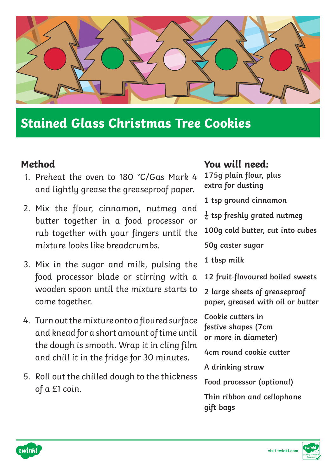

## **Stained Glass Christmas Tree Cookies**

## **Method**

- 1. Preheat the oven to 180 °C/Gas Mark 4 and lightly grease the greaseproof paper.
- 2. Mix the flour, cinnamon, nutmeg and butter together in a food processor or rub together with your fingers until the mixture looks like breadcrumbs.
- 3. Mix in the sugar and milk, pulsing the food processor blade or stirring with a wooden spoon until the mixture starts to come together.
- 4. Turn out the mixture onto a floured surface and knead for a short amount of time until the dough is smooth. Wrap it in cling film and chill it in the fridge for 30 minutes.
- 5. Roll out the chilled dough to the thickness of a £1 coin.

## **You will need:**

- **175g plain flour, plus extra for dusting**
- **1 tsp ground cinnamon**
- **¼ tsp freshly grated nutmeg**
- **100g cold butter, cut into cubes**

**50g caster sugar**

- **1 tbsp milk**
- **12 fruit-flavoured boiled sweets**
- **2 large sheets of greaseproof paper, greased with oil or butter**
- **Cookie cutters in festive shapes (7cm or more in diameter)**
- **4cm round cookie cutter**
- **A drinking straw**
- **Food processor (optional)**
- **Thin ribbon and cellophane gift bags**